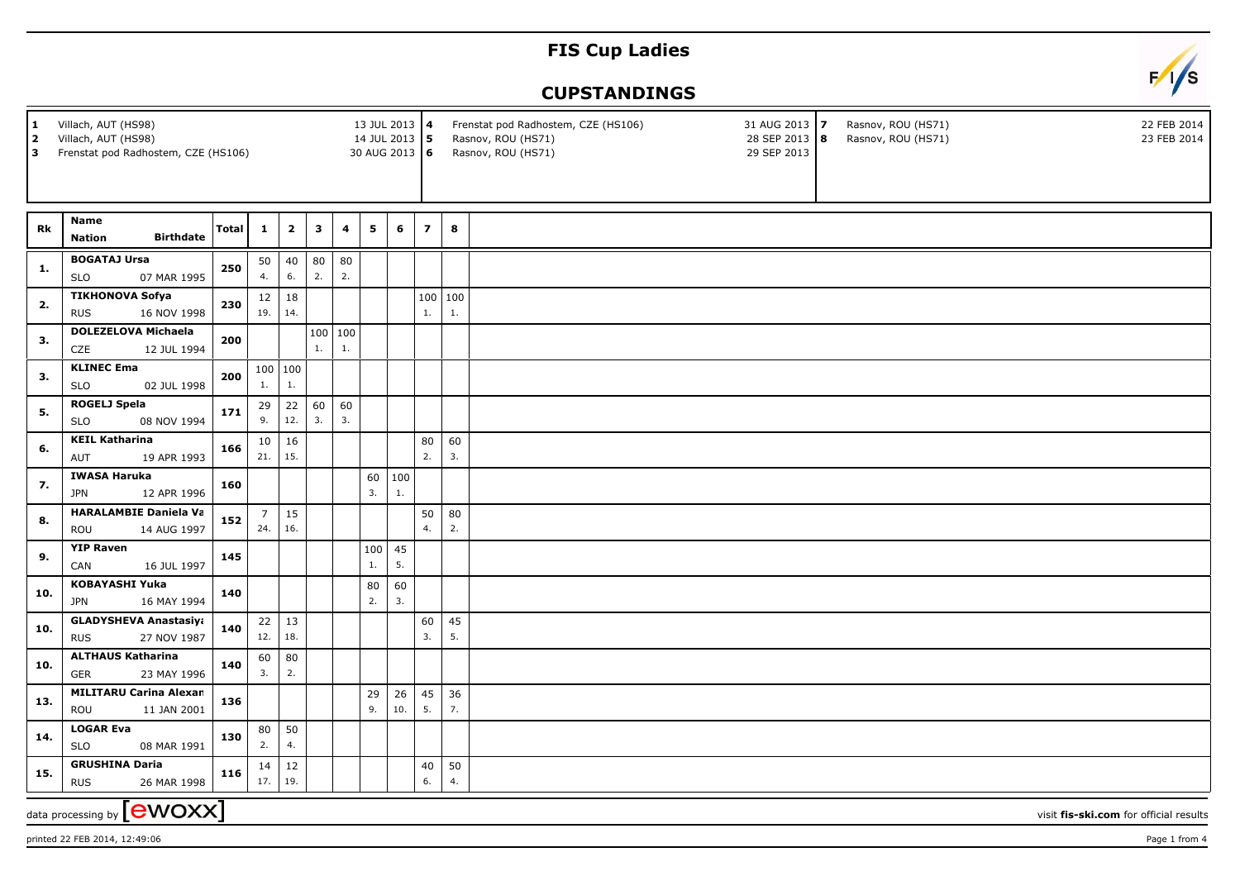## **FIS Cup Ladies**

## **CUPSTANDINGS**



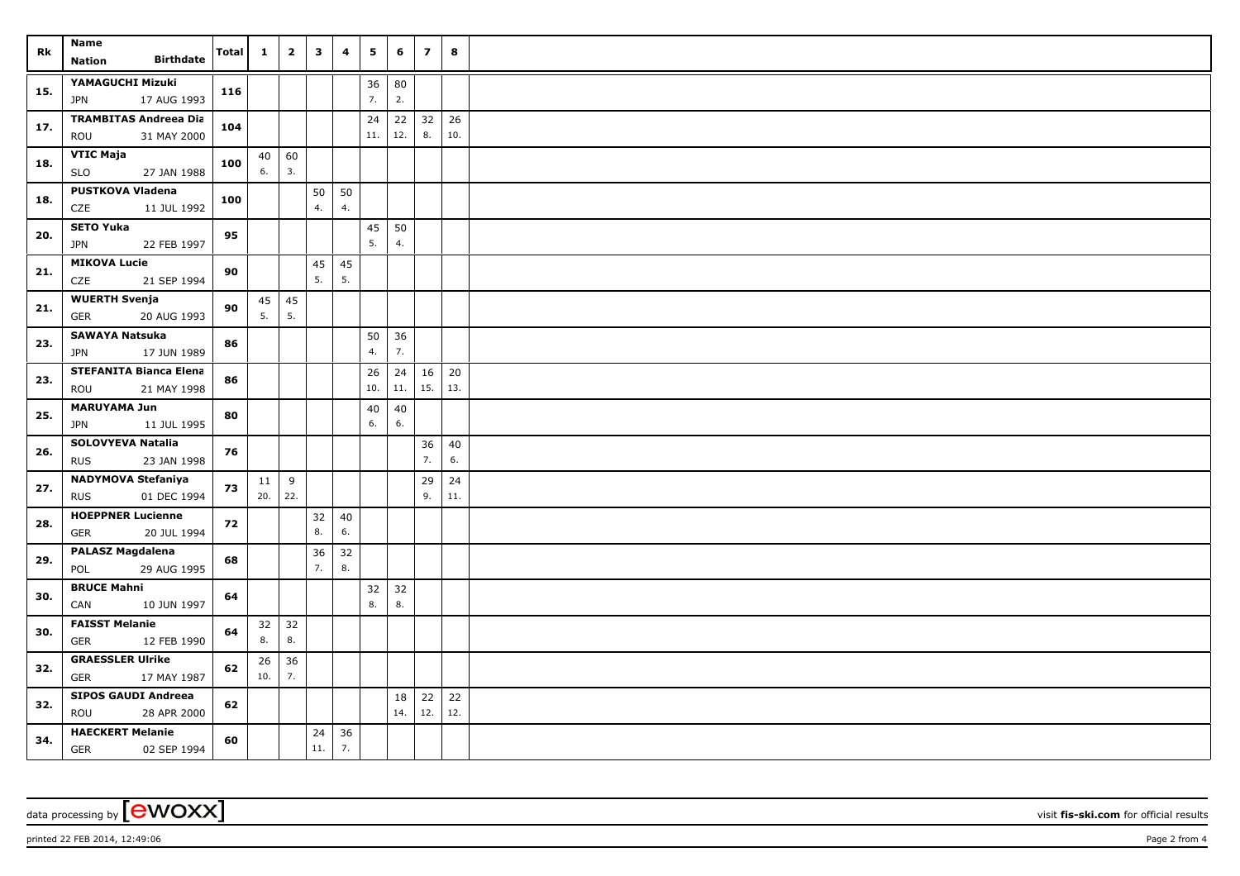| Rk  | Name                                           | Total | $\mathbf{1}$ | $\mathbf{2}$ | $\overline{\mathbf{3}}$ | 4  | 5                | 6        | $\overline{z}$ | 8        |  |
|-----|------------------------------------------------|-------|--------------|--------------|-------------------------|----|------------------|----------|----------------|----------|--|
|     | <b>Birthdate</b><br>Nation                     |       |              |              |                         |    |                  |          |                |          |  |
| 15. | YAMAGUCHI Mizuki                               | 116   |              |              |                         |    | 36               | 80       |                |          |  |
|     | JPN<br>17 AUG 1993                             |       |              |              |                         |    | 7.               | 2.       |                |          |  |
| 17. | <b>TRAMBITAS Andreea Dia</b>                   | 104   |              |              |                         |    | 24               | 22       | 32             | 26       |  |
|     | 31 MAY 2000<br>ROU                             |       |              |              |                         |    | 11.              | 12.      | 8.             | 10.      |  |
| 18. | <b>VTIC Maja</b>                               | 100   | 40           | 60           |                         |    |                  |          |                |          |  |
|     | <b>SLO</b><br>27 JAN 1988                      |       | 6.           | 3.           |                         |    |                  |          |                |          |  |
| 18. | <b>PUSTKOVA Vladena</b>                        | 100   |              |              | 50                      | 50 |                  |          |                |          |  |
|     | CZE<br>11 JUL 1992                             |       |              |              | 4.                      | 4. |                  |          |                |          |  |
| 20. | <b>SETO Yuka</b>                               | 95    |              |              |                         |    | 45               | 50       |                |          |  |
|     | <b>JPN</b><br>22 FEB 1997                      |       |              |              |                         |    | 5.               | 4.       |                |          |  |
| 21. | <b>MIKOVA Lucie</b>                            | 90    |              |              | 45                      | 45 |                  |          |                |          |  |
|     | 21 SEP 1994<br>CZE                             |       |              |              | 5.                      | 5. |                  |          |                |          |  |
| 21. | <b>WUERTH Svenja</b>                           | 90    | 45           | 45           |                         |    |                  |          |                |          |  |
|     | GER<br>20 AUG 1993                             |       | 5.           | 5.           |                         |    |                  |          |                |          |  |
| 23. | <b>SAWAYA Natsuka</b>                          | 86    |              |              |                         |    | 50               | 36       |                |          |  |
|     | JPN<br>17 JUN 1989                             |       |              |              |                         |    | $\overline{4}$ . | 7.       |                |          |  |
| 23. | <b>STEFANITA Bianca Elena</b>                  | 86    |              |              |                         |    | 26<br>10.        | 24       | 16             | 20       |  |
|     | 21 MAY 1998<br>ROU                             |       |              |              |                         |    |                  | 11.      | 15.            | 13.      |  |
| 25. | <b>MARUYAMA Jun</b>                            | 80    |              |              |                         |    | 40<br>6.         | 40<br>6. |                |          |  |
|     | <b>JPN</b><br>11 JUL 1995                      |       |              |              |                         |    |                  |          |                |          |  |
| 26. | SOLOVYEVA Natalia<br>23 JAN 1998<br><b>RUS</b> | 76    |              |              |                         |    |                  |          | 36<br>7.       | 40<br>6. |  |
|     | <b>NADYMOVA Stefaniya</b>                      |       | 11           | 9            |                         |    |                  |          | 29             | 24       |  |
| 27. | 01 DEC 1994<br><b>RUS</b>                      | 73    | 20.          | 22.          |                         |    |                  |          | 9.             | 11.      |  |
|     | <b>HOEPPNER Lucienne</b>                       |       |              |              | 32                      | 40 |                  |          |                |          |  |
| 28. | 20 JUL 1994<br>GER                             | 72    |              |              | 8.                      | 6. |                  |          |                |          |  |
|     | <b>PALASZ Magdalena</b>                        | 68    |              |              | 36                      | 32 |                  |          |                |          |  |
| 29. | 29 AUG 1995<br>POL                             |       |              |              | 7.                      | 8. |                  |          |                |          |  |
|     | <b>BRUCE Mahni</b>                             | 64    |              |              |                         |    | 32               | 32       |                |          |  |
| 30. | CAN<br>10 JUN 1997                             |       |              |              |                         |    | 8.               | 8.       |                |          |  |
| 30. | <b>FAISST Melanie</b>                          |       |              | $32 \mid 32$ |                         |    |                  |          |                |          |  |
|     | 12 FEB 1990<br>GER                             | 64    | 8.           | 8.           |                         |    |                  |          |                |          |  |
| 32. | <b>GRAESSLER Ulrike</b>                        | 62    | 26           | 36           |                         |    |                  |          |                |          |  |
|     | GER<br>17 MAY 1987                             |       | 10.          | 7.           |                         |    |                  |          |                |          |  |
| 32. | <b>SIPOS GAUDI Andreea</b>                     | 62    |              |              |                         |    |                  | 18       | 22             | 22       |  |
|     | ROU<br>28 APR 2000                             |       |              |              |                         |    |                  | 14.      | 12.            | 12.      |  |
| 34. | <b>HAECKERT Melanie</b>                        | 60    |              |              | 24                      | 36 |                  |          |                |          |  |
|     | <b>GER</b><br>02 SEP 1994                      |       |              |              | 11.                     | 7. |                  |          |                |          |  |

data processing by **CWOXX** visit fis-ski.com for official results

printed 22 FEB 2014, 12:49:06 Page 2 from 4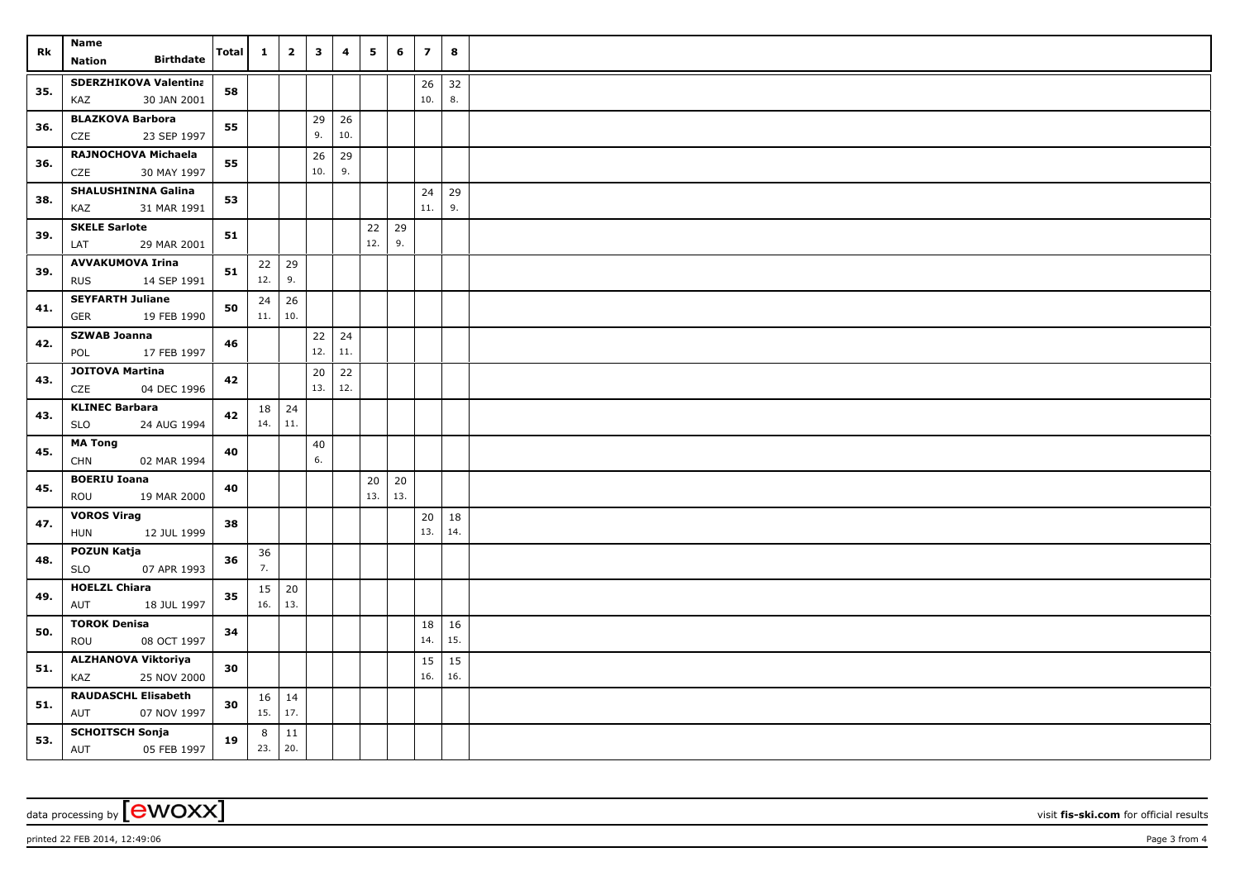| Rk  | Name                                              | Total | $\mathbf{1}$ | $\mathbf{2}$ | $\overline{\mathbf{3}}$ | 4           | 5   | 6   | $\overline{\phantom{a}}$ | 8   |  |
|-----|---------------------------------------------------|-------|--------------|--------------|-------------------------|-------------|-----|-----|--------------------------|-----|--|
|     | <b>Birthdate</b><br>Nation                        |       |              |              |                         |             |     |     |                          |     |  |
| 35. | <b>SDERZHIKOVA Valentina</b>                      | 58    |              |              |                         |             |     |     | 26                       | 32  |  |
|     | KAZ<br>30 JAN 2001                                |       |              |              |                         |             |     |     | 10.                      | 8.  |  |
| 36. | <b>BLAZKOVA Barbora</b>                           | 55    |              |              | 29<br>9.                | 26          |     |     |                          |     |  |
|     | 23 SEP 1997<br>CZE<br>RAJNOCHOVA Michaela         |       |              |              |                         | 10.         |     |     |                          |     |  |
| 36. | CZE<br>30 MAY 1997                                | 55    |              |              | 26<br>10.               | 29<br>9.    |     |     |                          |     |  |
|     | <b>SHALUSHININA Galina</b>                        | 53    |              |              |                         |             |     |     | 24                       | 29  |  |
| 38. | KAZ<br>31 MAR 1991                                |       |              |              |                         |             |     |     | 11.                      | 9.  |  |
|     | <b>SKELE Sarlote</b>                              | 51    |              |              |                         |             | 22  | 29  |                          |     |  |
| 39. | 29 MAR 2001<br>LAT                                |       |              |              |                         |             | 12. | 9.  |                          |     |  |
| 39. | <b>AVVAKUMOVA Irina</b>                           | 51    |              | $22 \mid 29$ |                         |             |     |     |                          |     |  |
|     | <b>RUS</b><br>14 SEP 1991                         |       | 12.          | 9.           |                         |             |     |     |                          |     |  |
| 41. | <b>SEYFARTH Juliane</b>                           | 50    | 24           | 26           |                         |             |     |     |                          |     |  |
|     | 19 FEB 1990<br>GER                                |       | 11.          | 10.          |                         |             |     |     |                          |     |  |
| 42. | <b>SZWAB Joanna</b>                               | 46    |              |              | 22<br>12.               | 24          |     |     |                          |     |  |
|     | POL<br>17 FEB 1997                                |       |              |              |                         | 11.         |     |     |                          |     |  |
| 43. | <b>JOITOVA Martina</b><br>CZE<br>04 DEC 1996      | 42    |              |              | 20<br>13.               | $22$<br>12. |     |     |                          |     |  |
|     | <b>KLINEC Barbara</b>                             |       |              | $18 \mid 24$ |                         |             |     |     |                          |     |  |
| 43. | SLO<br>24 AUG 1994                                | 42    | 14.          | 11.          |                         |             |     |     |                          |     |  |
|     | MA Tong                                           | 40    |              |              | 40                      |             |     |     |                          |     |  |
| 45. | <b>CHN</b><br>02 MAR 1994                         |       |              |              | 6.                      |             |     |     |                          |     |  |
| 45. | <b>BOERIU Ioana</b>                               | 40    |              |              |                         |             | 20  | 20  |                          |     |  |
|     | ROU<br>19 MAR 2000                                |       |              |              |                         |             | 13. | 13. |                          |     |  |
| 47. | <b>VOROS Virag</b>                                | 38    |              |              |                         |             |     |     | 20                       | 18  |  |
|     | 12 JUL 1999<br><b>HUN</b>                         |       |              |              |                         |             |     |     | 13.                      | 14. |  |
| 48. | <b>POZUN Katja</b>                                | 36    | 36           |              |                         |             |     |     |                          |     |  |
|     | 07 APR 1993<br><b>SLO</b><br><b>HOELZL Chiara</b> |       | 7.           |              |                         |             |     |     |                          |     |  |
| 49. | AUT<br>18 JUL 1997                                | 35    | 15 <br>16.   | 20<br>13.    |                         |             |     |     |                          |     |  |
|     | <b>TOROK Denisa</b>                               |       |              |              |                         |             |     |     | 18                       | 16  |  |
| 50. | 08 OCT 1997<br>ROU                                | 34    |              |              |                         |             |     |     | 14.                      | 15. |  |
| 51. | <b>ALZHANOVA Viktoriya</b>                        |       |              |              |                         |             |     |     | 15                       | 15  |  |
|     | KAZ<br>25 NOV 2000                                | 30    |              |              |                         |             |     |     | 16.                      | 16. |  |
| 51. | <b>RAUDASCHL Elisabeth</b>                        | 30    |              | $16 \mid 14$ |                         |             |     |     |                          |     |  |
|     | AUT<br>07 NOV 1997                                |       | 15.          | 17.          |                         |             |     |     |                          |     |  |
| 53. | <b>SCHOITSCH Sonja</b>                            | 19    | 8            | 11           |                         |             |     |     |                          |     |  |
|     | AUT<br>05 FEB 1997                                |       | 23.          | 20.          |                         |             |     |     |                          |     |  |